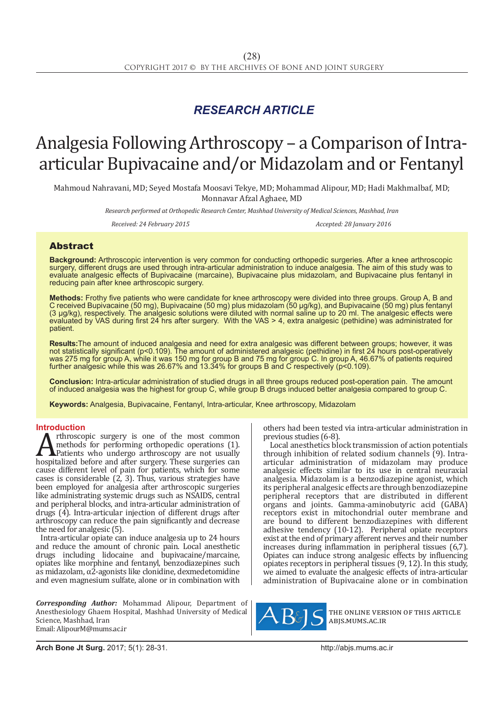## *RESEARCH ARTICLE*

# Analgesia Following Arthroscopy – a Comparison of Intraarticular Bupivacaine and/or Midazolam and or Fentanyl

Mahmoud Nahravani, MD; Seyed Mostafa Moosavi Tekye, MD; Mohammad Alipour, MD; Hadi Makhmalbaf, MD; Monnavar Afzal Aghaee, MD

*Research performed at Orthopedic Research Center, Mashhad University of Medical Sciences, Mashhad, Iran*

*Received: 24 February 2015 Accepted: 28 January 2016*

### Abstract

**Background:** Arthroscopic intervention is very common for conducting orthopedic surgeries. After a knee arthroscopic surgery, different drugs are used through intra-articular administration to induce analgesia. The aim of this study was to evaluate analgesic effects of Bupivacaine (marcaine), Bupivacaine plus midazolam, and Bupivacaine plus fentanyl in reducing pain after knee arthroscopic surgery.

**Methods:** Frothy five patients who were candidate for knee arthroscopy were divided into three groups. Group A, B and C received Bupivacaine (50 mg), Bupivacaine (50 mg) plus midazolam (50 µg/kg), and Bupivacaine (50 mg) plus fentanyl (3 µg/kg), respectively. The analgesic solutions were diluted with normal saline up to 20 ml. The analgesic effects were evaluated by VAS during first 24 hrs after surgery. With the VAS > 4, extra analgesic (pethidine) was administrated for patient.

**Results:**The amount of induced analgesia and need for extra analgesic was different between groups; however, it was not statistically significant (p<0.109). The amount of administered analgesic (pethidine) in first 24 hours post-operatively was 275 mg for group A, while it was 150 mg for group B and 75 mg for group C. In group A, 46.67% of patients required further analgesic while this was 26.67% and 13.34% for groups B and C respectively (p<0.109).

**Conclusion:** Intra-articular administration of studied drugs in all three groups reduced post-operation pain. The amount of induced analgesia was the highest for group C, while group B drugs induced better analgesia compared to group C.

**Keywords:** Analgesia, Bupivacaine, Fentanyl, Intra-articular, Knee arthroscopy, Midazolam

**Introduction**<br>**A** rthroscopic surgery is one of the most common **A** rthroscopic surgery is one of the most common<br>methods for performing orthopedic operations (1).<br>hospitalized before and after surgery. These surgeries can<br>cause different level of pain for patients, which for some methods for performing orthopedic operations (1). **APatients** who undergo arthroscopy are not usually hospitalized before and after surgery. These surgeries can cause different level of pain for patients, which for some cases is considerable (2, 3). Thus, various strategies have been employed for analgesia after arthroscopic surgeries like administrating systemic drugs such as NSAIDS, central and peripheral blocks, and intra-articular administration of drugs (4). Intra-articular injection of different drugs after arthroscopy can reduce the pain significantly and decrease the need for analgesic (5).

Intra-articular opiate can induce analgesia up to 24 hours and reduce the amount of chronic pain. Local anesthetic drugs including lidocaine and bupivacaine/marcaine, opiates like morphine and fentanyl, benzodiazepines such as midazolam, α2-agonists like clonidine, dexmedetomidine and even magnesium sulfate, alone or in combination with

*Corresponding Author:* Mohammad Alipour, Department of Anesthesiology Ghaem Hospital, Mashhad University of Medical Science, Mashhad, Iran Email: AlipourM@mums.ac.ir

others had been tested via intra-articular administration in previous studies (6-8).

 Local anesthetics block transmission of action potentials through inhibition of related sodium channels (9). Intraarticular administration of midazolam may produce analgesic effects similar to its use in central neuraxial analgesia. Midazolam is a benzodiazepine agonist, which its peripheral analgesic effects are through benzodiazepine peripheral receptors that are distributed in different organs and joints. Gamma-aminobutyric acid (GABA) receptors exist in mitochondrial outer membrane and are bound to different benzodiazepines with different adhesive tendency (10-12). Peripheral opiate receptors exist at the end of primary afferent nerves and their number increases during inflammation in peripheral tissues (6,7). Opiates can induce strong analgesic effects by influencing opiates receptors in peripheral tissues (9, 12). In this study, we aimed to evaluate the analgesic effects of intra-articular administration of Bupivacaine alone or in combination



the online version of this article abjs.mums.ac.ir

**Arch Bone Jt Surg.** 2017; 5(1): 28-31.http://abjs.mums.ac.ir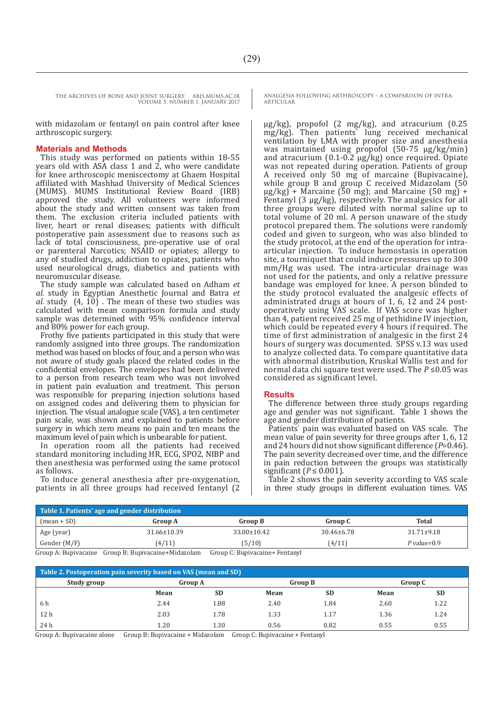THE ARCHIVES OF BONE AND JOINT SURGERY. ABJS.MUMS.AC.IR VOLUME 5. NUMBER 1. JANUARY 2017

with midazolam or fentanyl on pain control after knee arthroscopic surgery.

#### **Materials and Methods**

This study was performed on patients within 18-55 years old with ASA class 1 and 2, who were candidate for knee arthroscopic meniscectomy at Ghaem Hospital affiliated with Mashhad University of Medical Sciences (MUMS). MUMS Institutional Review Board (IRB) approved the study. All volunteers were informed about the study and written consent was taken from them. The exclusion criteria included patients with liver, heart or renal diseases; patients with difficult postoperative pain assessment due to reasons such as lack of total consciousness, pre-operative use of oral or parenteral Narcotics; NSAID or opiates; allergy to any of studied drugs, addiction to opiates, patients who used neurological drugs, diabetics and patients with neuromuscular disease.

The study sample was calculated based on Adham *et al.* study in Egyptian Anesthetic Journal and Batra *et al.* study (4, 10) . The mean of these two studies was calculated with mean comparison formula and study sample was determined with 95% confidence interval and 80% power for each group.

Frothy five patients participated in this study that were randomly assigned into three groups. The randomization method was based on blocks of four, and a person who was not aware of study goals placed the related codes in the confidential envelopes. The envelopes had been delivered to a person from research team who was not involved in patient pain evaluation and treatment. This person was responsible for preparing injection solutions based on assigned codes and delivering them to physician for injection. The visual analogue scale (VAS), a ten centimeter pain scale, was shown and explained to patients before surgery in which zero means no pain and ten means the maximum level of pain which is unbearable for patient.

In operation room all the patients had received standard monitoring including HR, ECG, SPO2, NIBP and then anesthesia was performed using the same protocol as follows.

To induce general anesthesia after pre-oxygenation, patients in all three groups had received fentanyl (2 ANALGESIA FOLLOWING ARTHROSCOPY – A COMPARISON OF INTRA-ARTICULAR

µg/kg), propofol (2 mg/kg), and atracurium (0.25 mg/kg). Then patients` lung received mechanical ventilation by LMA with proper size and anesthesia was maintained using propofol (50-75 µg/kg/min) and atracurium  $(0.1-0.2 \mu g/kg)$  once required. Opiate was not repeated during operation. Patients of group A received only 50 mg of marcaine (Bupivacaine), while group B and group C received Midazolam (50  $\mu$ g/kg) + Marcaine (50 mg); and Marcaine (50 mg) + Fentanyl (3 µg/kg), respectively. The analgesics for all three groups were diluted with normal saline up to total volume of 20 ml. A person unaware of the study protocol prepared them. The solutions were randomly coded and given to surgeon, who was also blinded to the study protocol, at the end of the operation for intraarticular injection. To induce hemostasis in operation site, a tourniquet that could induce pressures up to 300 mm/Hg was used. The intra-articular drainage was not used for the patients, and only a relative pressure bandage was employed for knee. A person blinded to the study protocol evaluated the analgesic effects of administrated drugs at hours of 1, 6, 12 and 24 postoperatively using VAS scale. If VAS score was higher than 4, patient received 25 mg of pethidine IV injection, which could be repeated every 4 hours if required. The time of first administration of analgesic in the first 24 hours of surgery was documented. SPSS v.13 was used to analyze collected data. To compare quantitative data with abnormal distribution, Kruskal Wallis test and for normal data chi square test were used. The *P* ≤0.05 was considered as significant level.

#### **Results**

The difference between three study groups regarding age and gender was not significant. Table 1 shows the age and gender distribution of patients.

Patients` pain was evaluated based on VAS scale. The mean value of pain severity for three groups after 1, 6, 12 and 24 hours did not show significant difference (*P*=0.46). The pain severity decreased over time, and the difference in pain reduction between the groups was statistically significant ( $P \le 0.001$ ).

Table 2 shows the pain severity according to VAS scale in three study groups in different evaluation times. VAS

| Table 1. Patients' age and gender distribution |                   |                   |                  |                  |  |  |  |  |
|------------------------------------------------|-------------------|-------------------|------------------|------------------|--|--|--|--|
| $(mean + SD)$                                  | <b>Group A</b>    | <b>Group B</b>    | <b>Group C</b>   | <b>Total</b>     |  |  |  |  |
| Age (year)                                     | $31.66 \pm 10.39$ | $33.00 \pm 10.42$ | $30.46 \pm 6.78$ | $31.71 \pm 9.18$ |  |  |  |  |
| Gender (M/F)                                   | (4/11)            | (5/10)            | (4/11)           | $P$ value= $0.9$ |  |  |  |  |

Group A: Bupivacaine Group B: Bupivacaine+Midazolam Group C: Bupivacaine+ Fentanyl

| Table 2. Postoperation pain severity based on VAS (mean and SD) |                |           |      |                |      |           |  |  |  |  |
|-----------------------------------------------------------------|----------------|-----------|------|----------------|------|-----------|--|--|--|--|
| Study group                                                     | <b>Group A</b> |           |      | <b>Group B</b> |      | Group C   |  |  |  |  |
|                                                                 | Mean           | <b>SD</b> | Mean | <b>SD</b>      | Mean | <b>SD</b> |  |  |  |  |
| 6 h                                                             | 2.44           | 1.88      | 2.40 | 1.84           | 2.60 | 1.22      |  |  |  |  |
| 12 <sub>h</sub>                                                 | 2.03           | 1.78      | 1.33 | 1.17           | 1.36 | 1.24      |  |  |  |  |
| 24 h                                                            | 1.20           | 1.30      | 0.56 | 0.82           | 0.55 | 0.55      |  |  |  |  |

Group A: Bupivacaine alone Group B: Bupivacaine + Midazolam Group C: Bupivacaine + Fentanyl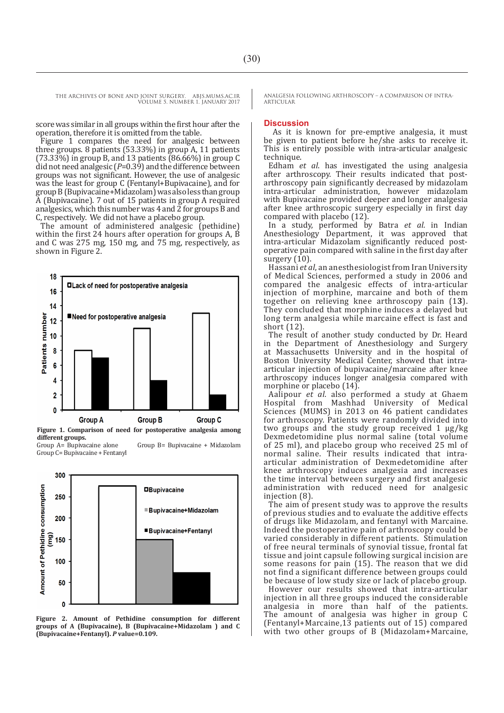THE ARCHIVES OF BONE AND JOINT SURGERY. ABJS.MUMS.AC.IR VOLUME 5. NUMBER 1. JANUARY 2017

score was similar in all groups within the first hour after the operation, therefore it is omitted from the table.

Figure 1 compares the need for analgesic between three groups. 8 patients (53.33%) in group A, 11 patients (73.33%) in group B, and 13 patients (86.66%) in group C did not need analgesic (*P*=0.39) and the difference between groups was not significant. However, the use of analgesic was the least for group C (Fentanyl+Bupivacaine), and for group B (Bupivacaine+Midazolam) was also less than group A (Bupivacaine). 7 out of 15 patients in group A required analgesics, which this number was 4 and  $\overline{2}$  for groups  $\overline{B}$  and C, respectively. We did not have a placebo group.

The amount of administered analgesic (pethidine) within the first 24 hours after operation for groups A, B and C was 275 mg, 150 mg, and 75 mg, respectively, as shown in Figure 2.



**Figure 1. Comparison of need for postoperative analgesia among different groups.**

Group A= Bupivacaine alone Group B= Bupivacaine + Midazolam Group C= Bupivacaine + Fentanyl



**Figure 2. Amount of Pethidine consumption for different groups of A (Bupivacaine), B (Bupivacaine+Midazolam ) and C (Bupivacaine+Fentanyl).** *P* **value=0.109.**

ANALGESIA FOLLOWING ARTHROSCOPY – A COMPARISON OF INTRA-ARTICULAR

#### **Discussion**

As it is known for pre-emptive analgesia, it must be given to patient before he/she asks to receive it. This is entirely possible with intra-articular analgesic technique.

Edham *et al*. has investigated the using analgesia after arthroscopy. Their results indicated that postarthroscopy pain significantly decreased by midazolam intra-articular administration, however midazolam with Bupivacaine provided deeper and longer analgesia after knee arthroscopic surgery especially in first day compared with placebo (12).

In a study, performed by Batra *et al.* in Indian Anesthesiology Department, it was approved that intra-articular Midazolam significantly reduced postoperative pain compared with saline in the first day after surgery  $(10)$ .

Hassani *et al*, an anesthesiologist from Iran University of Medical Sciences, performed a study in 2006 and compared the analgesic effects of intra-articular injection of morphine, marcaine and both of them together on relieving knee arthroscopy pain (1**3**). They concluded that morphine induces a delayed but long term analgesia while marcaine effect is fast and short (12).

The result of another study conducted by Dr. Heard in the Department of Anesthesiology and Surgery at Massachusetts University and in the hospital of Boston University Medical Center, showed that intraarticular injection of bupivacaine/marcaine after knee arthroscopy induces longer analgesia compared with morphine or placebo (14).

Aalipour *et al.* also performed a study at Ghaem Hospital from Mashhad University of Medical Sciences (MUMS) in 2013 on 46 patient candidates for arthroscopy. Patients were randomly divided into two groups and the study group received 1 µg/kg Dexmedetomidine plus normal saline (total volume of 25 ml), and placebo group who received 25 ml of normal saline. Their results indicated that intraarticular administration of Dexmedetomidine after knee arthroscopy induces analgesia and increases the time interval between surgery and first analgesic administration with reduced need for analgesic injection (8).

The aim of present study was to approve the results of previous studies and to evaluate the additive effects of drugs like Midazolam, and fentanyl with Marcaine. Indeed the postoperative pain of arthroscopy could be varied considerably in different patients. Stimulation of free neural terminals of synovial tissue, frontal fat tissue and joint capsule following surgical incision are some reasons for pain (15). The reason that we did not find a significant difference between groups could be because of low study size or lack of placebo group.

However our results showed that intra-articular injection in all three groups induced the considerable analgesia in more than half of the patients. The amount of analgesia was higher in group C (Fentanyl+Marcaine,13 patients out of 15) compared with two other groups of B (Midazolam+Marcaine,